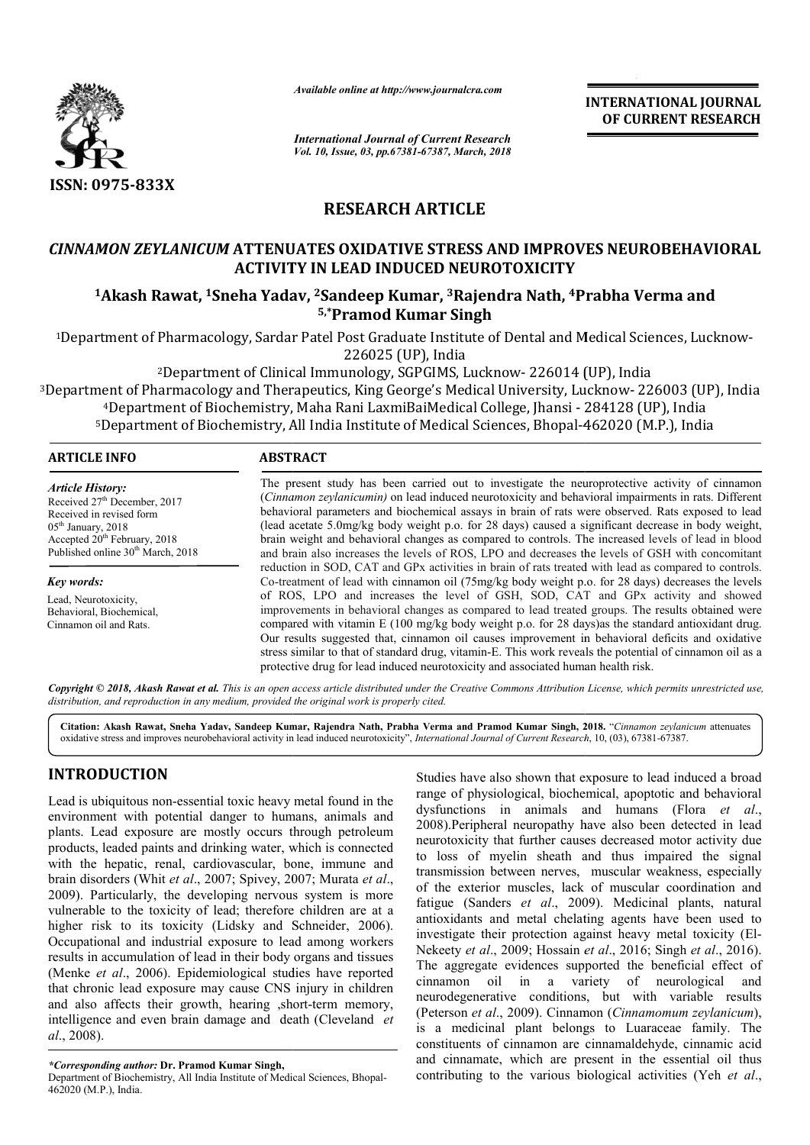

*Available online at http://www.journalcra.com*

*International Journal of Current Research Vol. 10, Issue, 03, pp.67381-67387, March, 2018* **INTERNATIONAL JOURNAL OF CURRENT RESEARCH**

# **RESEARCH ARTICLE**

# *CINNAMON ZEYLANICUM* **ATTENUATES OXIDATIVE STRESS AND IMPROVES NEUROBEHAVIORAL ACTIVITY IN LEAD INDUCED NEUROTOXICITY**

**1Akash Rawat, 1Sneha Yadav, Sneha 2Sandeep Kumar, 3Rajendra Nath, 4Prabha Verma Prabha and 5,\*Pramod Kumar Singh**

1Department of Pharmacology, Sardar Patel Post Graduate Institute of Dental and Medical Sciences, Lucknow Department 226025 (UP), India Graduate Institute Sciences, Lucknow-

2Department of Clinical Immunology, SGPGIMS, Lucknow Department Lucknow- 226014 (UP), India

3Department of Pharmacology and Therapeutics, King George's Medical University, Lucknow 226014 (UP), Therapeutics, King Lucknow- 226003 (UP), India ent of Pharmacology and Therapeutics, King George's Medical University, Lucknow- 226003 (U<br>4Department of Biochemistry, Maha Rani LaxmiBaiMedical College, Jhansi - 284128 (UP), India <sup>4</sup>Department of Biochemistry, Maha Rani LaxmiBaiMedical College, Jhansi - 284128 (UP), India<br><sup>5</sup>Department of Biochemistry, All India Institute of Medical Sciences, Bhopal-462020 (M.P.), India

## **ARTICLE INFO ABSTRACT**

*Article History:* Received 27<sup>th</sup> December, 2017 Received in revised form 05th January, 2018 Accepted  $20<sup>th</sup>$  February, 2018 Published online 30<sup>th</sup> March, 2018

*Key words:* Lead, Neurotoxicity, Behavioral, Biochemical, Cinnamon oil and Rats.

The present study has been carried out to investigate the neuroprotective activity of cinnamon (*Cinnamon zeylanicumin*) on lead induced neurotoxicity and behavioral impairments in rats. Different behavioral parameters and biochemical assays in brain of rats were observed. Rats exposed to lead (lead acetate 5.0 5.0mg/kg body weight p.o. for 28 days) caused a significant decreas brain weight and behavioral changes as compared to controls. The increased levels of lead in blood and brain also increases the levels of ROS, LPO and decreases the levels of GSH with concomitant reduction in SOD, CAT and GPx activities in brain of rats treated with lead as compared to controls. Co-treatment of lead with cinnamon oil (75mg/kg body weight p.o. for 28 days) decreases the levels of ROS, LPO and increases the level of GSH, SOD, CAT and GPx activity and showed of ROS, LPO and increases the level of GSH, SOD, CAT and GPx activity and showed improvements in behavioral changes as compared to lead treated groups. The results obtained were compared with vitamin E (100 mg/kg body weight p.o. for 28 days) as the standard antioxidant drug. Our results suggested that, cinnamon oil causes improvement in behavioral deficits and oxidative stress similar to that of standard drug, vitamin-E. This work reveals the potential of cinnamon oil as a protective drug for lead induced neurotoxicity and associated human health risk. The present study has been carried out to investigate the neuroprotective activity of cinnamon *(Cinnamon zeylanicumin)* on lead induced neurotoxicity and behavioral impairments in rats. Different behavioral parameters and

Copyright © 2018, Akash Rawat et al. This is an open access article distributed under the Creative Commons Attribution License, which permits unrestricted use, *distribution, and reproduction in any medium, provided the original work is properly cited.*

**Citation: Akash Rawat, Sneha Yadav, Sandeep Kumar, Rajendra Nath, Prabha Verma and Pramod Kumar Singh Singh, 201 2018.** "*Cinnamon zeylanicum* attenuates oxidative stress and improves neurobehavioral activity in lead induced neurotoxicity", *International Journal of Current Research*, 10, (03), 67381-67387.

# **INTRODUCTION**

Lead is ubiquitous non-essential toxic heavy metal found in the environment with potential danger to humans, animals and plants. Lead exposure are mostly occurs through petroleum products, leaded paints and drinking water, which is connected with the hepatic, renal, cardiovascular, bone, immune and brain disorders (Whit *et al*., 2007; Spivey, 2007; Murata *et al*., 2009). Particularly, the developing nervous system is more vulnerable to the toxicity of lead; therefore children are at a vulnerable to the toxicity of lead; therefore children are at a higher risk to its toxicity (Lidsky and Schneider, 2006). Occupational and industrial exposure to lead among workers results in accumulation of lead in their body organs and tissues (Menke *et al*., 2006). Epidemiological studies have reported that chronic lead exposure may cause CNS injury in children and also affects their growth, hearing , short-term memory, intelligence and even brain damage and death ( (Cleveland *et al*., 2008).

*\*Corresponding author:* **Dr. Pramod Kumar Singh,**

Department of Biochemistry, All India Institute of Medical Sciences, Bhopal-462020 (M.P.), India.

Studies have also shown that exposure to lead induced a broad range of physiological, biochemical, apoptotic and behavioral range of physiological, biochemical, apoptotic and behavioral<br>dysfunctions in animals and humans (Flora *et al.*, 2008).Peripheral neuropathy have also been detected in lead neurotoxicity that further causes decreased motor activity due to loss of myelin sheath and thus impaired the signal transmission between nerves, muscular weakness, especially of the exterior muscles, lack of muscular coordination and fatigue (Sanders *et al*., 2009). Medicinal plants, natural antioxidants and metal chelating agents have been used to antioxidants and metal chelating agents have been used to investigate their protection against heavy metal toxicity (El-Nekeety *et al*., 2009; Hossain *et al et al*., 2016; Singh *et al*., 2016). The aggregate evidences supported the beneficial effect of cinnamon oil in a variety of neurological and neurodegenerative conditions, but with variable results (Peterson *et al*., 2009). Cinnamon ( *Cinnamomum zeylanicum*), is a medicinal plant belongs to Luaraceae family. The constituents of cinnamon are cinnamaldehyde, cinnamic acid and cinnamate, which are present in the essential oil thus and cinnamate, which are present in the essential oil thus contributing to the various biological activities (Yeh *et al.*, Peripheral neuropathy have also been detected in lead oxicity that further causes decreased motor activity due s of myelin sheath and thus impaired the signal ission between nerves, muscular weakness, especially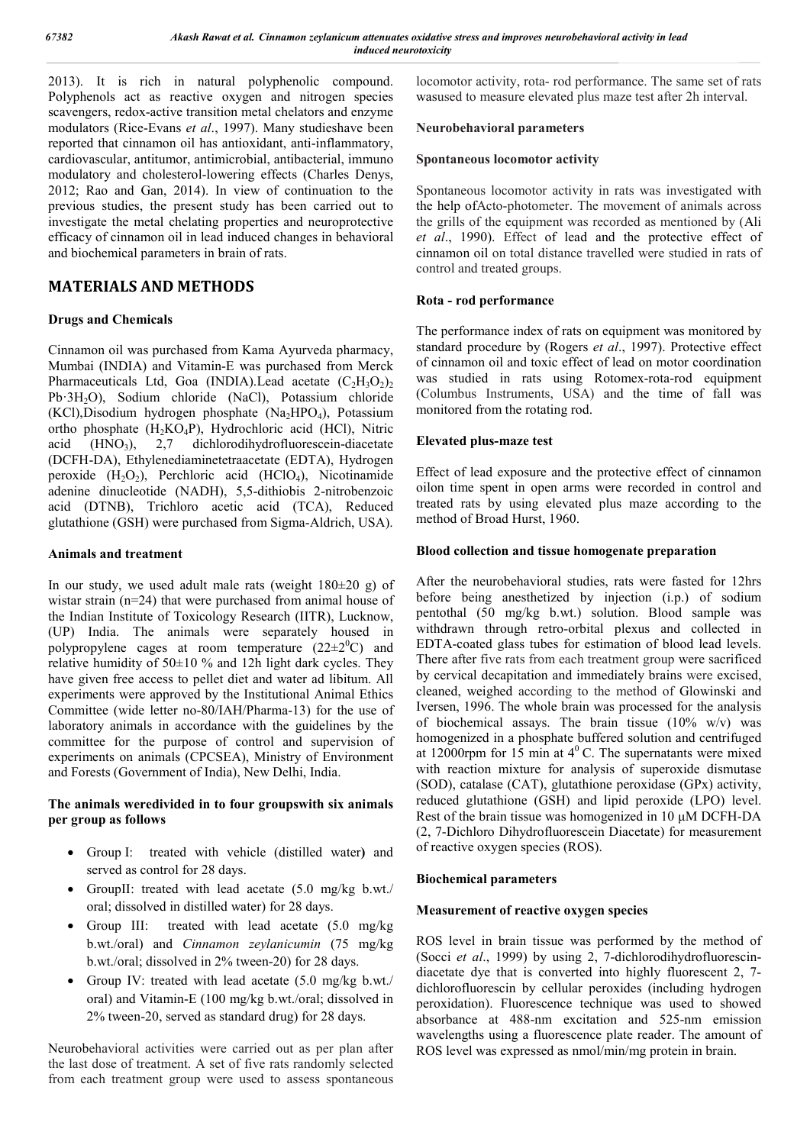2013). It is rich in natural polyphenolic compound. Polyphenols act as reactive oxygen and nitrogen species scavengers, redox-active transition metal chelators and enzyme modulators (Rice-Evans *et al*., 1997). Many studieshave been reported that cinnamon oil has antioxidant, anti-inflammatory, cardiovascular, antitumor, antimicrobial, antibacterial, immuno modulatory and cholesterol-lowering effects (Charles Denys, 2012; Rao and Gan, 2014). In view of continuation to the previous studies, the present study has been carried out to investigate the metal chelating properties and neuroprotective efficacy of cinnamon oil in lead induced changes in behavioral and biochemical parameters in brain of rats.

# **MATERIALS AND METHODS**

## **Drugs and Chemicals**

Cinnamon oil was purchased from Kama Ayurveda pharmacy, Mumbai (INDIA) and Vitamin-E was purchased from Merck Pharmaceuticals Ltd, Goa (INDIA).Lead acetate  $(C_2H_3O_2)$ Pb·3H2O), Sodium chloride (NaCl), Potassium chloride  $(KCl)$ , Disodium hydrogen phosphate  $(Na_2HPO_4)$ , Potassium ortho phosphate  $(H_2KO_4P)$ , Hydrochloric acid (HCl), Nitric acid (HNO<sub>3</sub>), 2.7 dichlorodihydrofluorescein-diacetate acid  $(HNO<sub>3</sub>)$ , 2,7 dichlorodihydrofluorescein-diacetate (DCFH-DA), Ethylenediaminetetraacetate (EDTA), Hydrogen peroxide  $(H_2O_2)$ , Perchloric acid  $(HClO_4)$ , Nicotinamide adenine dinucleotide (NADH), 5,5-dithiobis 2-nitrobenzoic acid (DTNB), Trichloro acetic acid (TCA), Reduced glutathione (GSH) were purchased from Sigma-Aldrich, USA).

## **Animals and treatment**

In our study, we used adult male rats (weight  $180\pm20$  g) of wistar strain (n=24) that were purchased from animal house of the Indian Institute of Toxicology Research (IITR), Lucknow, (UP) India. The animals were separately housed in polypropylene cages at room temperature  $(22 \pm 2^0C)$  and relative humidity of  $50\pm10\%$  and 12h light dark cycles. They have given free access to pellet diet and water ad libitum. All experiments were approved by the Institutional Animal Ethics Committee (wide letter no-80/IAH/Pharma-13) for the use of laboratory animals in accordance with the guidelines by the committee for the purpose of control and supervision of experiments on animals (CPCSEA), Ministry of Environment and Forests (Government of India), New Delhi, India.

## **The animals weredivided in to four groupswith six animals per group as follows**

- Group I: treated with vehicle (distilled water**)** and served as control for 28 days.
- GroupII: treated with lead acetate (5.0 mg/kg b.wt./ oral; dissolved in distilled water) for 28 days.
- Group III: treated with lead acetate (5.0 mg/kg) b.wt./oral) and *Cinnamon zeylanicumin* (75 mg/kg b.wt./oral; dissolved in 2% tween-20) for 28 days.
- Group IV: treated with lead acetate (5.0 mg/kg b.wt./ oral) and Vitamin-E (100 mg/kg b.wt./oral; dissolved in 2% tween-20, served as standard drug) for 28 days.

Neurobehavioral activities were carried out as per plan after the last dose of treatment. A set of five rats randomly selected from each treatment group were used to assess spontaneous locomotor activity, rota- rod performance. The same set of rats wasused to measure elevated plus maze test after 2h interval.

## **Neurobehavioral parameters**

## **Spontaneous locomotor activity**

Spontaneous locomotor activity in rats was investigated with the help ofActo-photometer. The movement of animals across the grills of the equipment was recorded as mentioned by (Ali *et al*., 1990). Effect of lead and the protective effect of cinnamon oil on total distance travelled were studied in rats of control and treated groups.

## **Rota - rod performance**

The performance index of rats on equipment was monitored by standard procedure by (Rogers *et al*., 1997). Protective effect of cinnamon oil and toxic effect of lead on motor coordination was studied in rats using Rotomex-rota-rod equipment (Columbus Instruments, USA) and the time of fall was monitored from the rotating rod.

## **Elevated plus-maze test**

Effect of lead exposure and the protective effect of cinnamon oilon time spent in open arms were recorded in control and treated rats by using elevated plus maze according to the method of Broad Hurst, 1960.

## **Blood collection and tissue homogenate preparation**

After the neurobehavioral studies, rats were fasted for 12hrs before being anesthetized by injection (i.p.) of sodium pentothal (50 mg/kg b.wt.) solution. Blood sample was withdrawn through retro-orbital plexus and collected in EDTA-coated glass tubes for estimation of blood lead levels. There after five rats from each treatment group were sacrificed by cervical decapitation and immediately brains were excised, cleaned, weighed according to the method of Glowinski and Iversen, 1996. The whole brain was processed for the analysis of biochemical assays. The brain tissue  $(10\% \text{ w/v})$  was homogenized in a phosphate buffered solution and centrifuged at 12000rpm for 15 min at  $4^{\circ}$  C. The supernatants were mixed with reaction mixture for analysis of superoxide dismutase (SOD), catalase (CAT), glutathione peroxidase (GPx) activity, reduced glutathione (GSH) and lipid peroxide (LPO) level. Rest of the brain tissue was homogenized in 10 μM DCFH-DA (2, 7-Dichloro Dihydrofluorescein Diacetate) for measurement of reactive oxygen species (ROS).

## **Biochemical parameters**

## **Measurement of reactive oxygen species**

ROS level in brain tissue was performed by the method of (Socci *et al*., 1999) by using 2, 7-dichlorodihydrofluorescindiacetate dye that is converted into highly fluorescent 2, 7 dichlorofluorescin by cellular peroxides (including hydrogen peroxidation). Fluorescence technique was used to showed absorbance at 488-nm excitation and 525-nm emission wavelengths using a fluorescence plate reader. The amount of ROS level was expressed as nmol/min/mg protein in brain.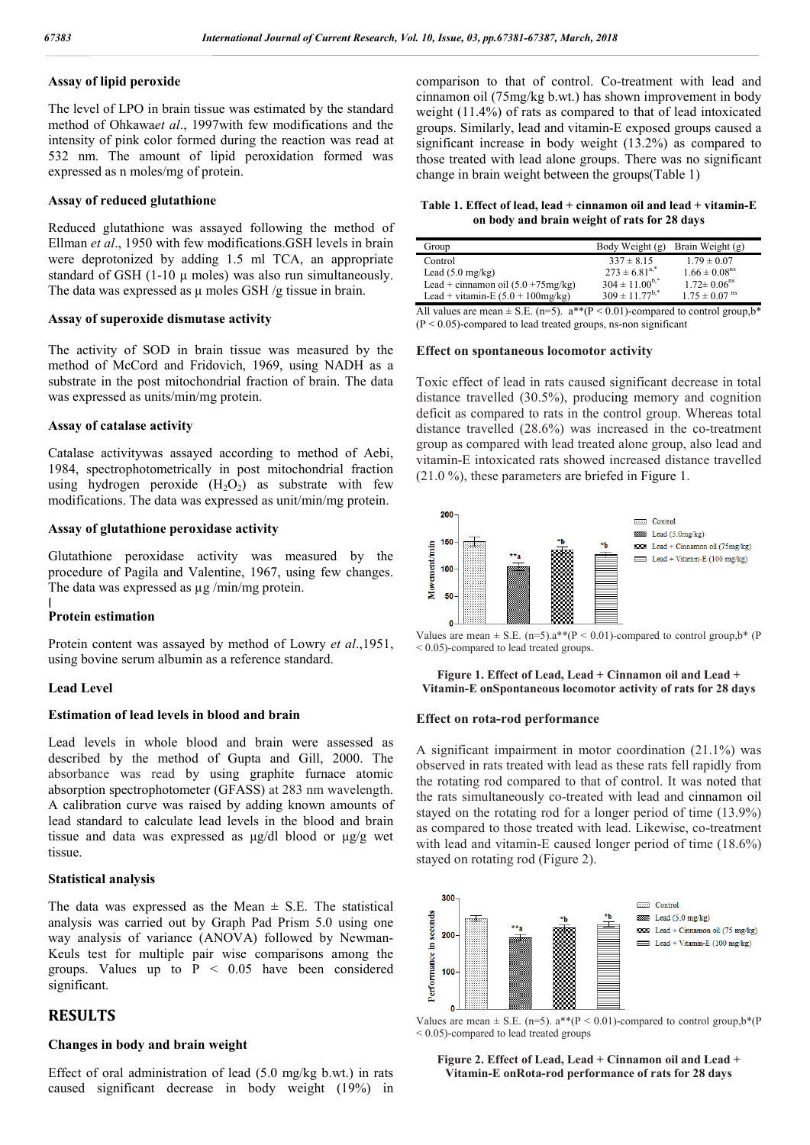## **Assay of lipid peroxide**

The level of LPO in brain tissue was estimated by the standard method of Ohkawa*et al*., 1997with few modifications and the intensity of pink color formed during the reaction was read at 532 nm. The amount of lipid peroxidation formed was expressed as n moles/mg of protein.

#### **Assay of reduced glutathione**

Reduced glutathione was assayed following the method of Ellman *et al*., 1950 with few modifications.GSH levels in brain were deprotonized by adding 1.5 ml TCA, an appropriate standard of GSH (1-10 μ moles) was also run simultaneously. The data was expressed as  $\mu$  moles GSH /g tissue in brain.

#### **Assay of superoxide dismutase activity**

The activity of SOD in brain tissue was measured by the method of McCord and Fridovich, 1969, using NADH as a substrate in the post mitochondrial fraction of brain. The data was expressed as units/min/mg protein.

#### **Assay of catalase activity**

Catalase activitywas assayed according to method of Aebi, 1984, spectrophotometrically in post mitochondrial fraction using hydrogen peroxide  $(H_2O_2)$  as substrate with few modifications. The data was expressed as unit/min/mg protein.

## **Assay of glutathione peroxidase activity**

Glutathione peroxidase activity was measured by the procedure of Pagila and Valentine, 1967, using few changes. The data was expressed as  $\mu$ g /min/mg protein.

#### **Protein estimation**

Protein content was assayed by method of Lowry *et al*.,1951, using bovine serum albumin as a reference standard.

### **Lead Level**

**[**

#### **Estimation of lead levels in blood and brain**

Lead levels in whole blood and brain were assessed as described by the method of Gupta and Gill, 2000. The absorbance was read by using graphite furnace atomic absorption spectrophotometer (GFASS) at 283 nm wavelength. A calibration curve was raised by adding known amounts of lead standard to calculate lead levels in the blood and brain tissue and data was expressed as μg/dl blood or μg/g wet tissue.

#### **Statistical analysis**

The data was expressed as the Mean  $\pm$  S.E. The statistical analysis was carried out by Graph Pad Prism 5.0 using one way analysis of variance (ANOVA) followed by Newman-Keuls test for multiple pair wise comparisons among the groups. Values up to  $P < 0.05$  have been considered significant.

## **RESULTS**

#### **Changes in body and brain weight**

Effect of oral administration of lead (5.0 mg/kg b.wt.) in rats caused significant decrease in body weight (19%) in comparison to that of control. Co-treatment with lead and cinnamon oil (75mg/kg b.wt.) has shown improvement in body weight (11.4%) of rats as compared to that of lead intoxicated groups. Similarly, lead and vitamin-E exposed groups caused a significant increase in body weight (13.2%) as compared to those treated with lead alone groups. There was no significant change in brain weight between the groups(Table 1)

**Table 1. Effect of lead, lead + cinnamon oil and lead + vitamin-E on body and brain weight of rats for 28 days**

| Group                                 | Body Weight (g)       | Brain Weight (g)              |
|---------------------------------------|-----------------------|-------------------------------|
| Control                               | $337 \pm 8.15$        | $1.79 \pm 0.07$               |
| Lead $(5.0 \text{ mg/kg})$            | $273 \pm 6.81^{a,*}$  | $1.66 \pm 0.08$ <sup>ns</sup> |
| Lead + cinnamon oil $(5.0 + 75mg/kg)$ | $304 \pm 11.00^{b,*}$ | $1.72 \pm 0.06$ <sup>ns</sup> |
| Lead + vitamin-E $(5.0 + 100$ mg/kg)  | $309 \pm 11.77^{b,*}$ | $1.75 \pm 0.07$ <sup>ns</sup> |

All values are mean  $\pm$  S.E. (n=5). a\*\*(P < 0.01)-compared to control group,b\*  $(P < 0.05)$ -compared to lead treated groups, ns-non significant

#### **Effect on spontaneous locomotor activity**

Toxic effect of lead in rats caused significant decrease in total distance travelled (30.5%), producing memory and cognition deficit as compared to rats in the control group. Whereas total distance travelled (28.6%) was increased in the co-treatment group as compared with lead treated alone group, also lead and vitamin-E intoxicated rats showed increased distance travelled (21.0 %), these parameters are briefed in Figure 1.





#### **Figure 1. Effect of Lead, Lead + Cinnamon oil and Lead + Vitamin-E onSpontaneous locomotor activity of rats for 28 days**

#### **Effect on rota-rod performance**

A significant impairment in motor coordination (21.1%) was observed in rats treated with lead as these rats fell rapidly from the rotating rod compared to that of control. It was noted that the rats simultaneously co-treated with lead and cinnamon oil stayed on the rotating rod for a longer period of time (13.9%) as compared to those treated with lead. Likewise, co-treatment with lead and vitamin-E caused longer period of time (18.6%) stayed on rotating rod (Figure 2).





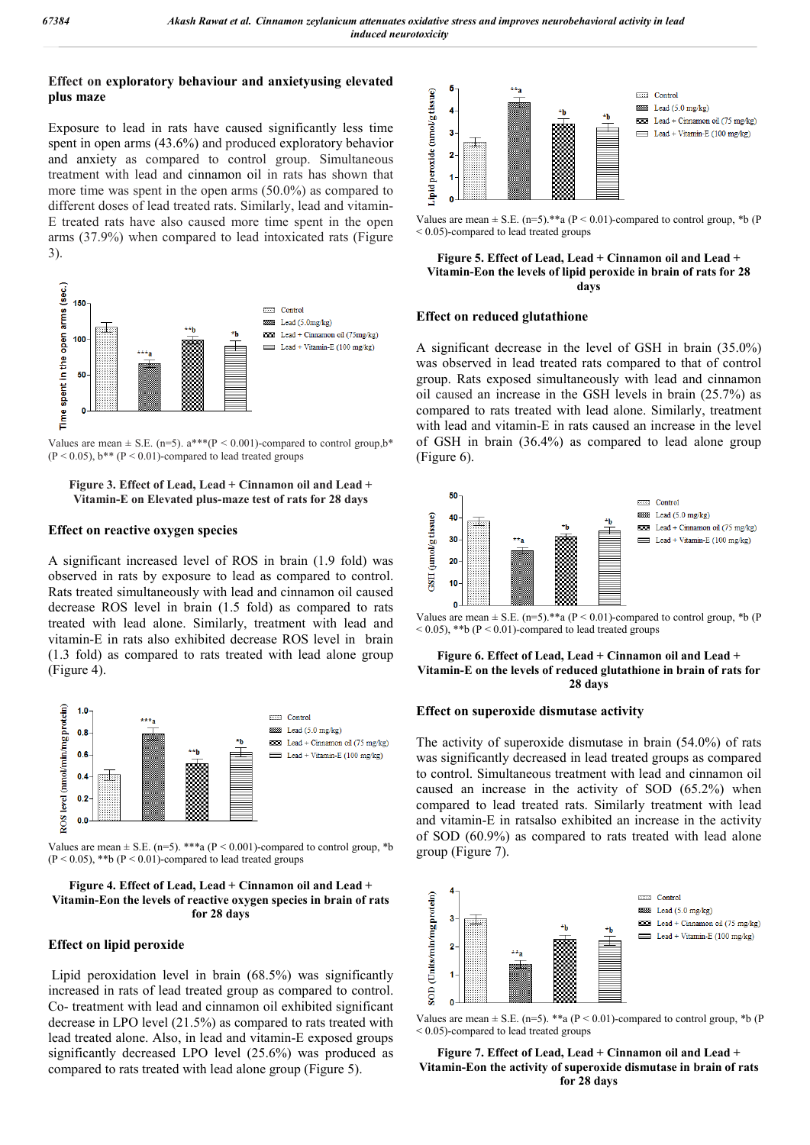## **Effect on exploratory behaviour and anxietyusing elevated plus maze**

Exposure to lead in rats have caused significantly less time spent in open arms (43.6%) and produced exploratory behavior and anxiety as compared to control group. Simultaneous treatment with lead and cinnamon oil in rats has shown that more time was spent in the open arms (50.0%) as compared to different doses of lead treated rats. Similarly, lead and vitamin-E treated rats have also caused more time spent in the open arms (37.9%) when compared to lead intoxicated rats (Figure 3).



Values are mean  $\pm$  S.E. (n=5). a\*\*\*(P < 0.001)-compared to control group, b\*  $(P < 0.05)$ , b\*\*  $(P < 0.01)$ -compared to lead treated groups

### **Figure 3. Effect of Lead, Lead + Cinnamon oil and Lead + Vitamin-E on Elevated plus-maze test of rats for 28 days**

## **Effect on reactive oxygen species**

A significant increased level of ROS in brain (1.9 fold) was observed in rats by exposure to lead as compared to control. Rats treated simultaneously with lead and cinnamon oil caused decrease ROS level in brain (1.5 fold) as compared to rats treated with lead alone. Similarly, treatment with lead and vitamin-E in rats also exhibited decrease ROS level in brain (1.3 fold) as compared to rats treated with lead alone group (Figure 4).



Values are mean  $\pm$  S.E. (n=5). \*\*\*a (P < 0.001)-compared to control group, \*b  $(P < 0.05)$ , \*\*b  $(P < 0.01)$ -compared to lead treated groups

#### **Figure 4. Effect of Lead, Lead + Cinnamon oil and Lead + Vitamin-Eon the levels of reactive oxygen species in brain of rats for 28 days**

## **Effect on lipid peroxide**

Lipid peroxidation level in brain (68.5%) was significantly increased in rats of lead treated group as compared to control. Co- treatment with lead and cinnamon oil exhibited significant decrease in LPO level (21.5%) as compared to rats treated with lead treated alone. Also, in lead and vitamin-E exposed groups significantly decreased LPO level (25.6%) was produced as compared to rats treated with lead alone group (Figure 5).



Values are mean  $\pm$  S.E. (n=5).\*\*a (P < 0.01)-compared to control group, \*b (P < 0.05)-compared to lead treated groups

#### **Figure 5. Effect of Lead, Lead + Cinnamon oil and Lead + Vitamin-Eon the levels of lipid peroxide in brain of rats for 28 days**

### **Effect on reduced glutathione**

A significant decrease in the level of GSH in brain (35.0%) was observed in lead treated rats compared to that of control group. Rats exposed simultaneously with lead and cinnamon oil caused an increase in the GSH levels in brain (25.7%) as compared to rats treated with lead alone. Similarly, treatment with lead and vitamin-E in rats caused an increase in the level of GSH in brain (36.4%) as compared to lead alone group (Figure 6).



Values are mean  $\pm$  S.E. (n=5).\*\*a (P < 0.01)-compared to control group, \*b (P  $< 0.05$ ), \*\*b (P  $< 0.01$ )-compared to lead treated groups

#### **Figure 6. Effect of Lead, Lead + Cinnamon oil and Lead + Vitamin-E on the levels of reduced glutathione in brain of rats for 28 days**

### **Effect on superoxide dismutase activity**

The activity of superoxide dismutase in brain (54.0%) of rats was significantly decreased in lead treated groups as compared to control. Simultaneous treatment with lead and cinnamon oil caused an increase in the activity of SOD (65.2%) when compared to lead treated rats. Similarly treatment with lead and vitamin-E in ratsalso exhibited an increase in the activity of SOD (60.9%) as compared to rats treated with lead alone group (Figure 7).



Values are mean  $\pm$  S.E. (n=5). \*\*a (P < 0.01)-compared to control group, \*b (P < 0.05)-compared to lead treated groups

#### **Figure 7. Effect of Lead, Lead + Cinnamon oil and Lead + Vitamin-Eon the activity of superoxide dismutase in brain of rats for 28 days**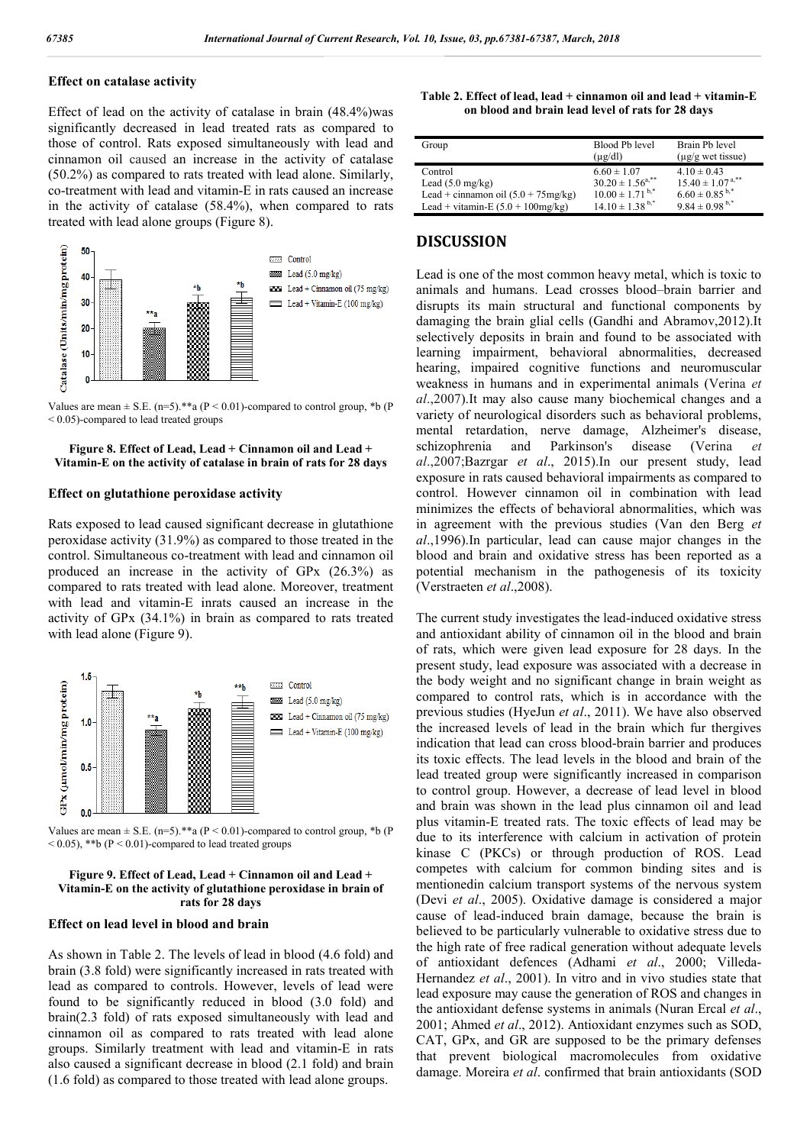## **Effect on catalase activity**

Effect of lead on the activity of catalase in brain (48.4%)was significantly decreased in lead treated rats as compared to those of control. Rats exposed simultaneously with lead and cinnamon oil caused an increase in the activity of catalase (50.2%) as compared to rats treated with lead alone. Similarly, co-treatment with lead and vitamin-E in rats caused an increase in the activity of catalase (58.4%), when compared to rats treated with lead alone groups (Figure 8).



Values are mean  $\pm$  S.E. (n=5).\*\*a (P < 0.01)-compared to control group, \*b (P < 0.05)-compared to lead treated groups

#### **Figure 8. Effect of Lead, Lead + Cinnamon oil and Lead + Vitamin-E on the activity of catalase in brain of rats for 28 days**

#### **Effect on glutathione peroxidase activity**

Rats exposed to lead caused significant decrease in glutathione peroxidase activity (31.9%) as compared to those treated in the control. Simultaneous co-treatment with lead and cinnamon oil produced an increase in the activity of GPx (26.3%) as compared to rats treated with lead alone. Moreover, treatment with lead and vitamin-E inrats caused an increase in the activity of GPx (34.1%) in brain as compared to rats treated with lead alone (Figure 9).



Values are mean  $\pm$  S.E. (n=5).\*\*a (P < 0.01)-compared to control group, \*b (P  $< 0.05$ ), \*\*b (P  $< 0.01$ )-compared to lead treated groups

#### **Figure 9. Effect of Lead, Lead + Cinnamon oil and Lead + Vitamin-E on the activity of glutathione peroxidase in brain of rats for 28 days**

#### **Effect on lead level in blood and brain**

As shown in Table 2. The levels of lead in blood (4.6 fold) and brain (3.8 fold) were significantly increased in rats treated with lead as compared to controls. However, levels of lead were found to be significantly reduced in blood (3.0 fold) and brain(2.3 fold) of rats exposed simultaneously with lead and cinnamon oil as compared to rats treated with lead alone groups. Similarly treatment with lead and vitamin-E in rats also caused a significant decrease in blood (2.1 fold) and brain (1.6 fold) as compared to those treated with lead alone groups.

|  |                                                   | Table 2. Effect of lead, lead + cinnamon oil and lead + vitamin-E |
|--|---------------------------------------------------|-------------------------------------------------------------------|
|  | on blood and brain lead level of rats for 28 days |                                                                   |

| Group                                 | Blood Pb level<br>$(\mu$ g/dl) | Brain Pb level<br>$(\mu$ g/g wet tissue) |
|---------------------------------------|--------------------------------|------------------------------------------|
| Control                               | $6.60 \pm 1.07$                | $4.10 \pm 0.43$                          |
| Lead $(5.0 \text{ mg/kg})$            | $30.20 \pm 1.56^{a,**}$        | $15.40 \pm 1.07^{a,**}$                  |
| Lead + cinnamon oil $(5.0 + 75mg/kg)$ | $10.00 \pm 1.71^{b,*}$         | $6.60 \pm 0.85^{b,*}$                    |
| Lead + vitamin-E $(5.0 + 100$ mg/kg)  | $14.10 \pm 1.38^{\text{b}}$ ,* | $9.84 \pm 0.98^{\mathrm{b},*}$           |

## **DISCUSSION**

Lead is one of the most common heavy metal, which is toxic to animals and humans. Lead crosses blood–brain barrier and disrupts its main structural and functional components by damaging the brain glial cells (Gandhi and Abramov,2012).It selectively deposits in brain and found to be associated with learning impairment, behavioral abnormalities, decreased hearing, impaired cognitive functions and neuromuscular weakness in humans and in experimental animals (Verina *et al*.,2007).It may also cause many biochemical changes and a variety of neurological disorders such as behavioral problems, mental retardation, nerve damage, Alzheimer's disease, schizophrenia and Parkinson's disease (Verina *et al*.,2007;Bazrgar *et al*., 2015).In our present study, lead exposure in rats caused behavioral impairments as compared to control. However cinnamon oil in combination with lead minimizes the effects of behavioral abnormalities, which was in agreement with the previous studies (Van den Berg *et al*.,1996).In particular, lead can cause major changes in the blood and brain and oxidative stress has been reported as a potential mechanism in the pathogenesis of its toxicity (Verstraeten *et al*.,2008).

The current study investigates the lead-induced oxidative stress and antioxidant ability of cinnamon oil in the blood and brain of rats, which were given lead exposure for 28 days. In the present study, lead exposure was associated with a decrease in the body weight and no significant change in brain weight as compared to control rats, which is in accordance with the previous studies (HyeJun *et al*., 2011). We have also observed the increased levels of lead in the brain which fur thergives indication that lead can cross blood-brain barrier and produces its toxic effects. The lead levels in the blood and brain of the lead treated group were significantly increased in comparison to control group. However, a decrease of lead level in blood and brain was shown in the lead plus cinnamon oil and lead plus vitamin-E treated rats. The toxic effects of lead may be due to its interference with calcium in activation of protein kinase C (PKCs) or through production of ROS. Lead competes with calcium for common binding sites and is mentionedin calcium transport systems of the nervous system (Devi *et al*., 2005). Oxidative damage is considered a major cause of lead-induced brain damage, because the brain is believed to be particularly vulnerable to oxidative stress due to the high rate of free radical generation without adequate levels of antioxidant defences (Adhami *et al*., 2000; Villeda-Hernandez *et al*., 2001). In vitro and in vivo studies state that lead exposure may cause the generation of ROS and changes in the antioxidant defense systems in animals (Nuran Ercal *et al*., 2001; Ahmed *et al*., 2012). Antioxidant enzymes such as SOD, CAT, GPx, and GR are supposed to be the primary defenses that prevent biological macromolecules from oxidative damage. Moreira *et al*. confirmed that brain antioxidants (SOD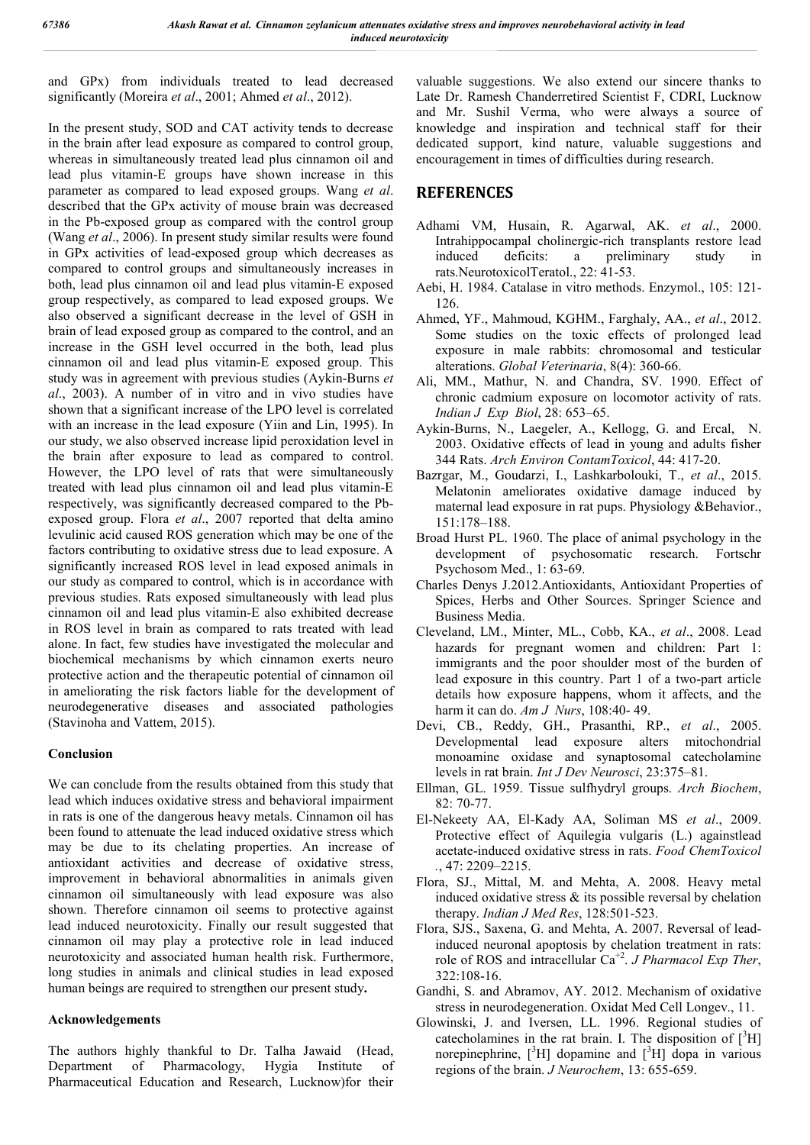and GPx) from individuals treated to lead decreased significantly (Moreira *et al*., 2001; Ahmed *et al*., 2012).

In the present study, SOD and CAT activity tends to decrease in the brain after lead exposure as compared to control group, whereas in simultaneously treated lead plus cinnamon oil and lead plus vitamin-E groups have shown increase in this parameter as compared to lead exposed groups. Wang *et al*. described that the GPx activity of mouse brain was decreased in the Pb-exposed group as compared with the control group (Wang *et al*., 2006). In present study similar results were found in GPx activities of lead-exposed group which decreases as compared to control groups and simultaneously increases in both, lead plus cinnamon oil and lead plus vitamin-E exposed group respectively, as compared to lead exposed groups. We also observed a significant decrease in the level of GSH in brain of lead exposed group as compared to the control, and an increase in the GSH level occurred in the both, lead plus cinnamon oil and lead plus vitamin-E exposed group. This study was in agreement with previous studies (Aykin-Burns *et al*., 2003). A number of in vitro and in vivo studies have shown that a significant increase of the LPO level is correlated with an increase in the lead exposure (Yiin and Lin, 1995). In our study, we also observed increase lipid peroxidation level in the brain after exposure to lead as compared to control. However, the LPO level of rats that were simultaneously treated with lead plus cinnamon oil and lead plus vitamin-E respectively, was significantly decreased compared to the Pbexposed group. Flora *et al*., 2007 reported that delta amino levulinic acid caused ROS generation which may be one of the factors contributing to oxidative stress due to lead exposure. A significantly increased ROS level in lead exposed animals in our study as compared to control, which is in accordance with previous studies. Rats exposed simultaneously with lead plus cinnamon oil and lead plus vitamin-E also exhibited decrease in ROS level in brain as compared to rats treated with lead alone. In fact, few studies have investigated the molecular and biochemical mechanisms by which cinnamon exerts neuro protective action and the therapeutic potential of cinnamon oil in ameliorating the risk factors liable for the development of neurodegenerative diseases and associated pathologies (Stavinoha and Vattem, 2015).

## **Conclusion**

We can conclude from the results obtained from this study that lead which induces oxidative stress and behavioral impairment in rats is one of the dangerous heavy metals. Cinnamon oil has been found to attenuate the lead induced oxidative stress which may be due to its chelating properties. An increase of antioxidant activities and decrease of oxidative stress, improvement in behavioral abnormalities in animals given cinnamon oil simultaneously with lead exposure was also shown. Therefore cinnamon oil seems to protective against lead induced neurotoxicity. Finally our result suggested that cinnamon oil may play a protective role in lead induced neurotoxicity and associated human health risk. Furthermore, long studies in animals and clinical studies in lead exposed human beings are required to strengthen our present study**.**

## **Acknowledgements**

The authors highly thankful to Dr. Talha Jawaid (Head, Department of Pharmacology, Hygia Institute of Pharmaceutical Education and Research, Lucknow)for their

valuable suggestions. We also extend our sincere thanks to Late Dr. Ramesh Chanderretired Scientist F, CDRI, Lucknow and Mr. Sushil Verma, who were always a source of knowledge and inspiration and technical staff for their dedicated support, kind nature, valuable suggestions and encouragement in times of difficulties during research.

# **REFERENCES**

- Adhami VM, Husain, R. Agarwal, AK. *et al*., 2000. Intrahippocampal cholinergic-rich transplants restore lead induced deficits: a preliminary study in rats.NeurotoxicolTeratol., 22: 41-53.
- Aebi, H. 1984. Catalase in vitro methods. Enzymol., 105: 121- 126.
- Ahmed, YF., Mahmoud, KGHM., Farghaly, AA., *et al*., 2012. Some studies on the toxic effects of prolonged lead exposure in male rabbits: chromosomal and testicular alterations. *Global Veterinaria*, 8(4): 360-66.
- Ali, MM., Mathur, N. and Chandra, SV. 1990. Effect of chronic cadmium exposure on locomotor activity of rats. *Indian J Exp Biol*, 28: 653–65.
- Aykin-Burns, N., Laegeler, A., Kellogg, G. and Ercal, N. 2003. Oxidative effects of lead in young and adults fisher 344 Rats. *Arch Environ ContamToxicol*, 44: 417-20.
- Bazrgar, M., Goudarzi, I., Lashkarbolouki, T., *et al*., 2015. Melatonin ameliorates oxidative damage induced by maternal lead exposure in rat pups. Physiology &Behavior., 151:178–188.
- Broad Hurst PL. 1960. The place of animal psychology in the development of psychosomatic research. Fortschr Psychosom Med., 1: 63-69.
- Charles Denys J.2012.Antioxidants, Antioxidant Properties of Spices, Herbs and Other Sources. Springer Science and Business Media.
- Cleveland, LM., Minter, ML., Cobb, KA., *et al*., 2008. Lead hazards for pregnant women and children: Part 1: immigrants and the poor shoulder most of the burden of lead exposure in this country. Part 1 of a two-part article details how exposure happens, whom it affects, and the harm it can do. *Am J Nurs*, 108:40- 49.
- Devi, CB., Reddy, GH., Prasanthi, RP., *et al*., 2005. Developmental lead exposure alters mitochondrial monoamine oxidase and synaptosomal catecholamine levels in rat brain. *Int J Dev Neurosci*, 23:375–81.
- Ellman, GL. 1959. Tissue sulfhydryl groups. *Arch Biochem*, 82: 70-77.
- El-Nekeety AA, El-Kady AA, Soliman MS *et al*., 2009. Protective effect of Aquilegia vulgaris (L.) againstlead acetate-induced oxidative stress in rats. *Food ChemToxicol .*, 47: 2209–2215.
- Flora, SJ., Mittal, M. and Mehta, A. 2008. Heavy metal induced oxidative stress & its possible reversal by chelation therapy. *Indian J Med Res*, 128:501-523.
- Flora, SJS., Saxena, G. and Mehta, A. 2007. Reversal of leadinduced neuronal apoptosis by chelation treatment in rats: role of ROS and intracellular Ca+2. *J Pharmacol Exp Ther*, 322:108-16.
- Gandhi, S. and Abramov, AY. 2012. Mechanism of oxidative stress in neurodegeneration. Oxidat Med Cell Longev., 11.
- Glowinski, J. and Iversen, LL. 1996. Regional studies of catecholamines in the rat brain. I. The disposition of  $[^{3}H]$ norepinephrine,  $[^{3}H]$  dopamine and  $[^{3}H]$  dopa in various regions of the brain. *J Neurochem*, 13: 655-659.